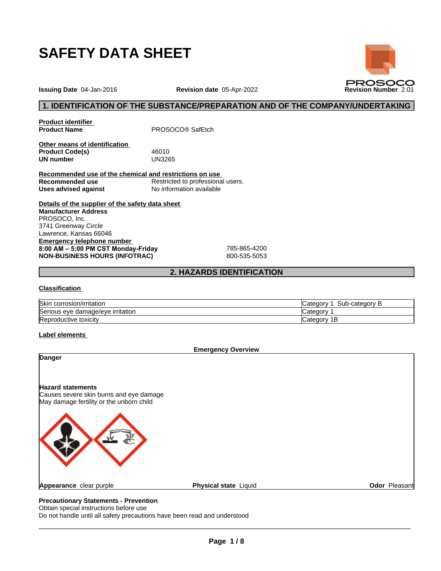

**Issuing Date** 04-Jan-2016 **Revision date** 05-Apr-2022 **Revision Number** 2.01

# **1. IDENTIFICATION OF THE SUBSTANCE/PREPARATION AND OF THE COMPANY/UNDERTAKING**

**Product identifier**

**Product Name** PROSOCO® SafEtch

**Other means of identification Product Code(s)** 46010<br> **UN number** UN3265 **UN number** 

**Recommended use of the chemical and restrictions on use Recommended use** Restricted to professional users. **Uses advised against** No information available

**Details of the supplier of the safety data sheet Emergency telephone number 8:00AM–5:00PMCSTMonday-Friday** 785-865-4200 **NON-BUSINESS HOURS (INFOTRAC)** 800-535-5053 **Manufacturer Address** PROSOCO, Inc. 3741 Greenway Circle Lawrence, Kansas 66046

# **2. HAZARDS IDENTIFICATION**

#### **Classification**

| <b>Skin</b><br>corrosion/irritation                      | ′ atedoryب<br>up-categor: :<br>sub |
|----------------------------------------------------------|------------------------------------|
| <b>Serious</b><br>e irritation<br>nage/eve<br>eve<br>aar | ∵ategor∩                           |
| Repro<br>oductive toxicity. .                            | 'ategorٽ<br>. .                    |

#### **Label elements**



# Obtain special instructions before use

Do not handle until all safety precautions have been read and understood

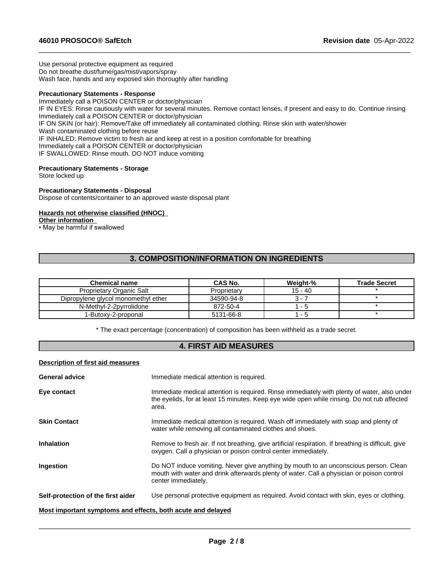Use personal protective equipment as required Do not breathe dust/fume/gas/mist/vapors/spray Wash face, hands and any exposed skin thoroughly after handling

#### **Precautionary Statements - Response**

Immediately call a POISON CENTER or doctor/physician IF IN EYES: Rinse cautiously with water for several minutes. Remove contact lenses, if present and easy to do. Continue rinsing Immediately call a POISON CENTER or doctor/physician IF ON SKIN (or hair): Remove/Take off immediately all contaminated clothing. Rinse skin with water/shower Wash contaminated clothing before reuse IF INHALED: Remove victim to fresh air and keep at rest in a position comfortable for breathing Immediately call a POISON CENTER or doctor/physician IF SWALLOWED: Rinse mouth. DO NOT induce vomiting

 $\_$  ,  $\_$  ,  $\_$  ,  $\_$  ,  $\_$  ,  $\_$  ,  $\_$  ,  $\_$  ,  $\_$  ,  $\_$  ,  $\_$  ,  $\_$  ,  $\_$  ,  $\_$  ,  $\_$  ,  $\_$  ,  $\_$  ,  $\_$  ,  $\_$  ,  $\_$  ,  $\_$  ,  $\_$  ,  $\_$  ,  $\_$  ,  $\_$  ,  $\_$  ,  $\_$  ,  $\_$  ,  $\_$  ,  $\_$  ,  $\_$  ,  $\_$  ,  $\_$  ,  $\_$  ,  $\_$  ,  $\_$  ,  $\_$  ,

#### **Precautionary Statements - Storage**

Store locked up

#### **Precautionary Statements - Disposal**

Dispose of contents/container to an approved waste disposal plant

#### **Hazards not otherwise classified (HNOC)**

#### **Other information**

• May be harmful if swallowed

# **3. COMPOSITION/INFORMATION ON INGREDIENTS**

| <b>Chemical name</b>                | <b>CAS No.</b> | Weight-%  | <b>Trade Secret</b> |
|-------------------------------------|----------------|-----------|---------------------|
| Proprietary Organic Salt            | Proprietary    | $15 - 40$ |                     |
| Dipropylene glycol monomethyl ether | 34590-94-8     | 3 -       |                     |
| N-Methyl-2-2pyrrolidone             | 872-50-4       | - 5       |                     |
| 1-Butoxv-2-proponal                 | 5131-66-8      | - 5       |                     |

\* The exact percentage (concentration) ofcomposition has been withheld as a trade secret.

# **4. FIRST AID MEASURES**

#### **Description of first aid measures**

| <b>General advice</b>                                       | Immediate medical attention is required.                                                                                                                                                                 |  |
|-------------------------------------------------------------|----------------------------------------------------------------------------------------------------------------------------------------------------------------------------------------------------------|--|
| Eye contact                                                 | Immediate medical attention is required. Rinse immediately with plenty of water, also under<br>the eyelids, for at least 15 minutes. Keep eye wide open while rinsing. Do not rub affected<br>area.      |  |
| <b>Skin Contact</b>                                         | Immediate medical attention is required. Wash off immediately with soap and plenty of<br>water while removing all contaminated clothes and shoes.                                                        |  |
| <b>Inhalation</b>                                           | Remove to fresh air. If not breathing, give artificial respiration. If breathing is difficult, give<br>oxygen. Call a physician or poison control center immediately.                                    |  |
| Ingestion                                                   | Do NOT induce vomiting. Never give anything by mouth to an unconscious person. Clean<br>mouth with water and drink afterwards plenty of water. Call a physician or poison control<br>center immediately. |  |
| Self-protection of the first aider                          | Use personal protective equipment as required. Avoid contact with skin, eyes or clothing.                                                                                                                |  |
| Most important symptoms and effects, both acute and delayed |                                                                                                                                                                                                          |  |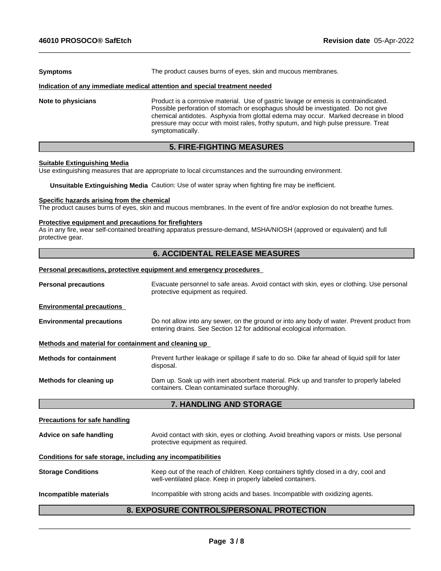| <b>Symptoms</b>    | The product causes burns of eyes, skin and mucous membranes.                                                                                                                                                                                                                                                                                                              |  |  |
|--------------------|---------------------------------------------------------------------------------------------------------------------------------------------------------------------------------------------------------------------------------------------------------------------------------------------------------------------------------------------------------------------------|--|--|
|                    | Indication of any immediate medical attention and special treatment needed                                                                                                                                                                                                                                                                                                |  |  |
| Note to physicians | Product is a corrosive material. Use of gastric lavage or emesis is contraindicated.<br>Possible perforation of stomach or esophagus should be investigated. Do not give<br>chemical antidotes. Asphyxia from glottal edema may occur. Marked decrease in blood<br>pressure may occur with moist rales, frothy sputum, and high pulse pressure. Treat<br>symptomatically. |  |  |

 $\_$  ,  $\_$  ,  $\_$  ,  $\_$  ,  $\_$  ,  $\_$  ,  $\_$  ,  $\_$  ,  $\_$  ,  $\_$  ,  $\_$  ,  $\_$  ,  $\_$  ,  $\_$  ,  $\_$  ,  $\_$  ,  $\_$  ,  $\_$  ,  $\_$  ,  $\_$  ,  $\_$  ,  $\_$  ,  $\_$  ,  $\_$  ,  $\_$  ,  $\_$  ,  $\_$  ,  $\_$  ,  $\_$  ,  $\_$  ,  $\_$  ,  $\_$  ,  $\_$  ,  $\_$  ,  $\_$  ,  $\_$  ,  $\_$  ,

# **5. FIRE-FIGHTING MEASURES**

#### **Suitable Extinguishing Media**

Use extinguishing measures that are appropriate to local circumstances and the surrounding environment.

**Unsuitable Extinguishing Media** Caution: Use of water spray when fighting fire may be inefficient.

#### **Specific hazards arising from the chemical**

The product causes burns of eyes, skin and mucous membranes. In the event of fire and/or explosion do not breathe fumes.

#### **Protective equipment and precautions for firefighters**

As in any fire, wear self-contained breathing apparatus pressure-demand, MSHA/NIOSH (approved or equivalent) and full protective gear.

# **6. ACCIDENTAL RELEASE MEASURES**

# **Personal precautions, protective equipment and emergency procedures**

| <b>Personal precautions</b>                                  | Evacuate personnel to safe areas. Avoid contact with skin, eyes or clothing. Use personal<br>protective equipment as required.                                       |  |  |  |
|--------------------------------------------------------------|----------------------------------------------------------------------------------------------------------------------------------------------------------------------|--|--|--|
| <b>Environmental precautions</b>                             |                                                                                                                                                                      |  |  |  |
| <b>Environmental precautions</b>                             | Do not allow into any sewer, on the ground or into any body of water. Prevent product from<br>entering drains. See Section 12 for additional ecological information. |  |  |  |
| Methods and material for containment and cleaning up         |                                                                                                                                                                      |  |  |  |
| <b>Methods for containment</b>                               | Prevent further leakage or spillage if safe to do so. Dike far ahead of liquid spill for later<br>disposal.                                                          |  |  |  |
| Methods for cleaning up                                      | Dam up. Soak up with inert absorbent material. Pick up and transfer to properly labeled<br>containers. Clean contaminated surface thoroughly.                        |  |  |  |
|                                                              | 7. HANDLING AND STORAGE                                                                                                                                              |  |  |  |
| <b>Precautions for safe handling</b>                         |                                                                                                                                                                      |  |  |  |
| Advice on safe handling                                      | Avoid contact with skin, eyes or clothing. Avoid breathing vapors or mists. Use personal<br>protective equipment as required.                                        |  |  |  |
| Conditions for safe storage, including any incompatibilities |                                                                                                                                                                      |  |  |  |
| <b>Storage Conditions</b>                                    | Keep out of the reach of children. Keep containers tightly closed in a dry, cool and<br>well-ventilated place. Keep in properly labeled containers.                  |  |  |  |
| Incompatible materials                                       | Incompatible with strong acids and bases. Incompatible with oxidizing agents.                                                                                        |  |  |  |
|                                                              | <b>8. EXPOSURE CONTROLS/PERSONAL PROTECTION</b>                                                                                                                      |  |  |  |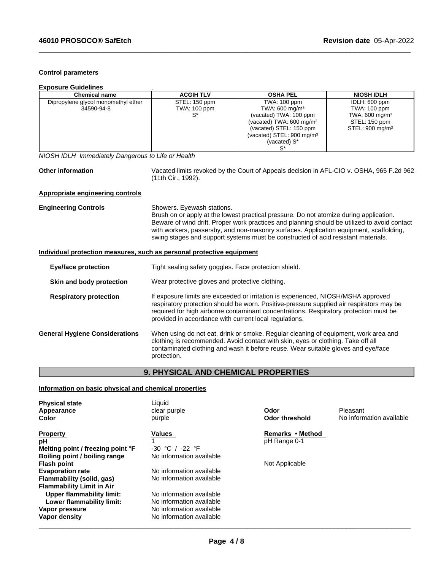#### **Control parameters**

| <b>Exposure Guidelines</b>          |                     |                                      |                             |
|-------------------------------------|---------------------|--------------------------------------|-----------------------------|
| Chemical name                       | <b>ACGIH TLV</b>    | <b>OSHA PEL</b>                      | <b>NIOSH IDLH</b>           |
| Dipropylene glycol monomethyl ether | STEL: 150 ppm       | TWA: 100 ppm                         | IDLH: 600 ppm               |
| 34590-94-8                          | <b>TWA: 100 ppm</b> | TWA: 600 mg/m <sup>3</sup>           | TWA: 100 ppm                |
|                                     | S*                  | (vacated) TWA: 100 ppm               | TWA: 600 mg/m <sup>3</sup>  |
|                                     |                     | (vacated) TWA: $600 \text{ mg/m}^3$  | STEL: 150 ppm               |
|                                     |                     | (vacated) STEL: 150 ppm              | STEL: 900 mg/m <sup>3</sup> |
|                                     |                     | (vacated) STEL: $900 \text{ mg/m}^3$ |                             |
|                                     |                     | (vacated) S*                         |                             |
|                                     |                     |                                      |                             |

*NIOSH IDLH Immediately Dangerous to Life or Health*

Other information **Vacated limits revoked by the Court of Appeals decision in AFL-CIO v. OSHA, 965 F.2d 962** (11th Cir., 1992).

 $\_$  ,  $\_$  ,  $\_$  ,  $\_$  ,  $\_$  ,  $\_$  ,  $\_$  ,  $\_$  ,  $\_$  ,  $\_$  ,  $\_$  ,  $\_$  ,  $\_$  ,  $\_$  ,  $\_$  ,  $\_$  ,  $\_$  ,  $\_$  ,  $\_$  ,  $\_$  ,  $\_$  ,  $\_$  ,  $\_$  ,  $\_$  ,  $\_$  ,  $\_$  ,  $\_$  ,  $\_$  ,  $\_$  ,  $\_$  ,  $\_$  ,  $\_$  ,  $\_$  ,  $\_$  ,  $\_$  ,  $\_$  ,  $\_$  ,

## **Appropriate engineering controls**

| <b>Engineering Controls</b> | Showers. Eyewash stations.                                                                                                                                                             |
|-----------------------------|----------------------------------------------------------------------------------------------------------------------------------------------------------------------------------------|
|                             | Brush on or apply at the lowest practical pressure. Do not atomize during application.                                                                                                 |
|                             | Beware of wind drift. Proper work practices and planning should be utilized to avoid contact<br>with workers, passersby, and non-masonry surfaces. Application equipment, scaffolding, |
|                             | swing stages and support systems must be constructed of acid resistant materials.                                                                                                      |

## **Individual protection measures, such as personal protective equipment**

| Tight sealing safety goggles. Face protection shield.                                                                                                                                                                                                                                                                            |  |  |
|----------------------------------------------------------------------------------------------------------------------------------------------------------------------------------------------------------------------------------------------------------------------------------------------------------------------------------|--|--|
| Wear protective gloves and protective clothing.                                                                                                                                                                                                                                                                                  |  |  |
| If exposure limits are exceeded or irritation is experienced, NIOSH/MSHA approved<br>respiratory protection should be worn. Positive-pressure supplied air respirators may be<br>required for high airborne contaminant concentrations. Respiratory protection must be<br>provided in accordance with current local regulations. |  |  |
| When using do not eat, drink or smoke. Regular cleaning of equipment, work area and<br>clothing is recommended. Avoid contact with skin, eyes or clothing. Take off all<br>contaminated clothing and wash it before reuse. Wear suitable gloves and eye/face<br>protection.                                                      |  |  |
|                                                                                                                                                                                                                                                                                                                                  |  |  |

# **9. PHYSICAL AND CHEMICAL PROPERTIES**

# **Information on basic physical and chemical properties**

| <b>Physical state</b><br>Appearance | Liquid<br>clear purple   | Odor                  | Pleasant                 |
|-------------------------------------|--------------------------|-----------------------|--------------------------|
| Color                               | purple                   | <b>Odor threshold</b> | No information available |
| <b>Property</b>                     | Values                   | Remarks • Method      |                          |
| рH                                  |                          | pH Range 0-1          |                          |
| Melting point / freezing point °F   | $-30$ °C / $-22$ °F      |                       |                          |
| Boiling point / boiling range       | No information available |                       |                          |
| <b>Flash point</b>                  |                          | Not Applicable        |                          |
| <b>Evaporation rate</b>             | No information available |                       |                          |
| Flammability (solid, gas)           | No information available |                       |                          |
| <b>Flammability Limit in Air</b>    |                          |                       |                          |
| Upper flammability limit:           | No information available |                       |                          |
| Lower flammability limit:           | No information available |                       |                          |
| Vapor pressure                      | No information available |                       |                          |
| Vapor density                       | No information available |                       |                          |
|                                     |                          |                       |                          |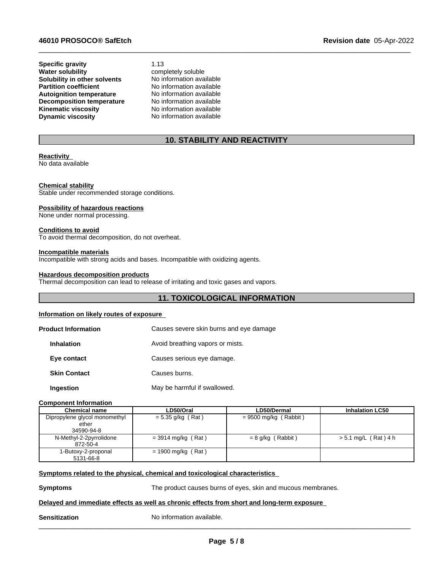#### **46010 PROSOCO® SafEtch Revision date** 05-Apr-2022

**Specific gravity** 1.13<br> **Water solubility** comp **Solubility in other solvents** No information available<br> **Partition coefficient** No information available **Partition coefficient Autoignition temperature** No information available **Decomposition temperature** No information available<br> **Kinematic viscosity** No information available **Kinematic viscosity**<br>Dynamic viscosity

completely soluble<br>No information available **No information available** 

# **10. STABILITY AND REACTIVITY**

 $\_$  ,  $\_$  ,  $\_$  ,  $\_$  ,  $\_$  ,  $\_$  ,  $\_$  ,  $\_$  ,  $\_$  ,  $\_$  ,  $\_$  ,  $\_$  ,  $\_$  ,  $\_$  ,  $\_$  ,  $\_$  ,  $\_$  ,  $\_$  ,  $\_$  ,  $\_$  ,  $\_$  ,  $\_$  ,  $\_$  ,  $\_$  ,  $\_$  ,  $\_$  ,  $\_$  ,  $\_$  ,  $\_$  ,  $\_$  ,  $\_$  ,  $\_$  ,  $\_$  ,  $\_$  ,  $\_$  ,  $\_$  ,  $\_$  ,

#### **Reactivity**

No data available

#### **Chemical stability**

Stable under recommended storage conditions.

#### **Possibility of hazardous reactions**

None under normal processing.

#### **Conditions to avoid**

To avoid thermal decomposition, do not overheat.

#### **Incompatible materials**

Incompatible with strong acids and bases. Incompatible with oxidizing agents.

## **Hazardous decomposition products**

Thermal decomposition can lead to release of irritating and toxic gases and vapors.

# **11. TOXICOLOGICAL INFORMATION**

#### **Information on likely routes of exposure**

| <b>Product Information</b> | Causes severe skin burns and eye damage |
|----------------------------|-----------------------------------------|
| <b>Inhalation</b>          | Avoid breathing vapors or mists.        |
| Eye contact                | Causes serious eye damage.              |
| <b>Skin Contact</b>        | Causes burns.                           |
| Ingestion                  | May be harmful if swallowed.            |

#### **Component Information**

| <b>Chemical name</b>                | LD50/Oral            | LD50/Dermal             | <b>Inhalation LC50</b> |
|-------------------------------------|----------------------|-------------------------|------------------------|
| Dipropylene glycol monomethyl       | $= 5.35$ g/kg (Rat)  | $= 9500$ mg/kg (Rabbit) |                        |
| ether<br>34590-94-8                 |                      |                         |                        |
| N-Methyl-2-2pyrrolidone<br>872-50-4 | $=$ 3914 mg/kg (Rat) | = 8 g/kg (Rabbit)       | > 5.1 mg/L (Rat) 4 h   |
| 1-Butoxy-2-proponal<br>5131-66-8    | $= 1900$ mg/kg (Rat) |                         |                        |

#### **Symptoms related to the physical, chemical and toxicological characteristics**

**Symptoms** The product causes burns of eyes, skin and mucous membranes.

 $\overline{\phantom{a}}$  ,  $\overline{\phantom{a}}$  ,  $\overline{\phantom{a}}$  ,  $\overline{\phantom{a}}$  ,  $\overline{\phantom{a}}$  ,  $\overline{\phantom{a}}$  ,  $\overline{\phantom{a}}$  ,  $\overline{\phantom{a}}$  ,  $\overline{\phantom{a}}$  ,  $\overline{\phantom{a}}$  ,  $\overline{\phantom{a}}$  ,  $\overline{\phantom{a}}$  ,  $\overline{\phantom{a}}$  ,  $\overline{\phantom{a}}$  ,  $\overline{\phantom{a}}$  ,  $\overline{\phantom{a}}$ 

#### **Delayed and immediate effects as well as chronic effects from short and long-term exposure**

**Sensitization** No information available.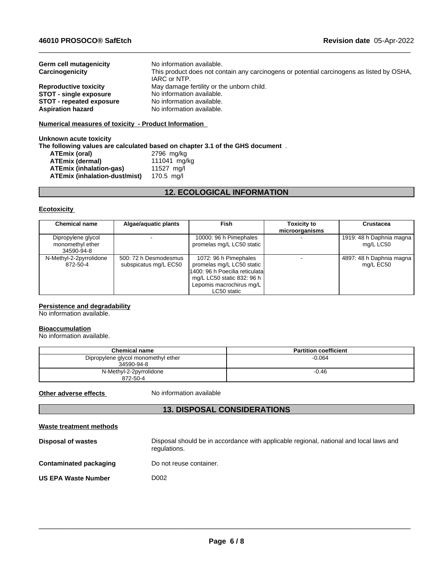| No information available.                                                                 |
|-------------------------------------------------------------------------------------------|
|                                                                                           |
| This product does not contain any carcinogens or potential carcinogens as listed by OSHA, |
| IARC or NTP.                                                                              |
| May damage fertility or the unborn child.                                                 |
| No information available.                                                                 |
| No information available.                                                                 |
| No information available.                                                                 |
|                                                                                           |

 $\_$  ,  $\_$  ,  $\_$  ,  $\_$  ,  $\_$  ,  $\_$  ,  $\_$  ,  $\_$  ,  $\_$  ,  $\_$  ,  $\_$  ,  $\_$  ,  $\_$  ,  $\_$  ,  $\_$  ,  $\_$  ,  $\_$  ,  $\_$  ,  $\_$  ,  $\_$  ,  $\_$  ,  $\_$  ,  $\_$  ,  $\_$  ,  $\_$  ,  $\_$  ,  $\_$  ,  $\_$  ,  $\_$  ,  $\_$  ,  $\_$  ,  $\_$  ,  $\_$  ,  $\_$  ,  $\_$  ,  $\_$  ,  $\_$  ,

### **Numerical measures of toxicity - Product Information**

#### **Unknown acute toxicity The following values are calculated based on chapter 3.1 of the GHS document** .

| ATEmix (oral)                        | 2796 mg/kg   |
|--------------------------------------|--------------|
| <b>ATEmix (dermal)</b>               | 111041 mg/kg |
| <b>ATEmix (inhalation-gas)</b>       | 11527 ma/l   |
| <b>ATEmix (inhalation-dust/mist)</b> | 170.5 mg/l   |

# **12. ECOLOGICAL INFORMATION**

#### **Ecotoxicity**

| <b>Chemical name</b>                                 | Algae/aquatic plants                           | Fish                                                                                                                                                           | <b>Toxicity to</b><br>microorganisms | Crustacea                             |
|------------------------------------------------------|------------------------------------------------|----------------------------------------------------------------------------------------------------------------------------------------------------------------|--------------------------------------|---------------------------------------|
| Dipropylene glycol<br>monomethyl ether<br>34590-94-8 |                                                | 10000: 96 h Pimephales<br>promelas mg/L LC50 static                                                                                                            |                                      | 1919: 48 h Daphnia magna<br>mg/L LC50 |
| N-Methyl-2-2pyrrolidone<br>872-50-4                  | 500: 72 h Desmodesmus<br>subspicatus mg/L EC50 | 1072: 96 h Pimephales<br>promelas mg/L LC50 static<br>1400: 96 h Poecilia reticulatal<br>mg/L LC50 static 832: 96 h<br>Lepomis macrochirus mg/L<br>LC50 static |                                      | 4897: 48 h Daphnia magna<br>mg/L EC50 |

#### **Persistence and degradability**

No information available.

### **Bioaccumulation**

No information available.

| <b>Chemical name</b>                              | <b>Partition coefficient</b> |
|---------------------------------------------------|------------------------------|
| Dipropylene glycol monomethyl ether<br>34590-94-8 | $-0.064$                     |
| N-Methyl-2-2pyrrolidone<br>872-50-4               | $-0.46$                      |

**Other adverse effects** No information available

# **13. DISPOSAL CONSIDERATIONS**

| Waste treatment methods       |                                                                                                        |
|-------------------------------|--------------------------------------------------------------------------------------------------------|
| <b>Disposal of wastes</b>     | Disposal should be in accordance with applicable regional, national and local laws and<br>regulations. |
| <b>Contaminated packaging</b> | Do not reuse container.                                                                                |
| <b>US EPA Waste Number</b>    | D002                                                                                                   |
|                               |                                                                                                        |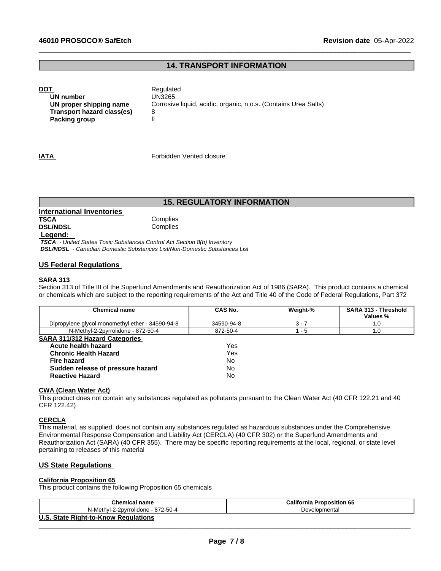# **14. TRANSPORT INFORMATION**

 $\_$  ,  $\_$  ,  $\_$  ,  $\_$  ,  $\_$  ,  $\_$  ,  $\_$  ,  $\_$  ,  $\_$  ,  $\_$  ,  $\_$  ,  $\_$  ,  $\_$  ,  $\_$  ,  $\_$  ,  $\_$  ,  $\_$  ,  $\_$  ,  $\_$  ,  $\_$  ,  $\_$  ,  $\_$  ,  $\_$  ,  $\_$  ,  $\_$  ,  $\_$  ,  $\_$  ,  $\_$  ,  $\_$  ,  $\_$  ,  $\_$  ,  $\_$  ,  $\_$  ,  $\_$  ,  $\_$  ,  $\_$  ,  $\_$  ,

**DOT** Regulated **UN number** UN3265 **UN proper shipping name** Corrosive liquid, acidic, organic, n.o.s. (Contains Urea Salts) **Transport hazard class(es)** 8 **Packing group** 

**IATA IATA Forbidden Vented closure** 

# **15. REGULATORY INFORMATION**

# **International Inventories TSCA** Complies<br> **DSL/NDSL** Complies **DSL/NDSL**

 **Legend:** 

 *TSCA - United States Toxic Substances Control Act Section 8(b) Inventory DSL/NDSL - Canadian Domestic Substances List/Non-Domestic Substances List*

# **US Federal Regulations**

## **SARA 313**

Section 313 of Title III of the Superfund Amendments and Reauthorization Act of 1986 (SARA). This product contains a chemical or chemicals which are subject to the reporting requirements of the Act and Title 40 of the Code of Federal Regulations, Part 372

| <b>Chemical name</b>                             | <b>CAS No.</b> | Weight-% | SARA 313 - Threshold<br>Values % |
|--------------------------------------------------|----------------|----------|----------------------------------|
| Dipropylene glycol monomethyl ether - 34590-94-8 | 34590-94-8     | $3 - 7$  | 1.0                              |
| N-Methyl-2-2pyrrolidone - 872-50-4               | 872-50-4       | - 5      | 1.0                              |
| <b>SARA 311/312 Hazard Categories</b>            |                |          |                                  |
| Acute health hazard                              | Yes            |          |                                  |
| <b>Chronic Health Hazard</b>                     | Yes            |          |                                  |
| Fire hazard                                      | <b>No</b>      |          |                                  |
| Sudden release of pressure hazard                | No             |          |                                  |
| <b>Reactive Hazard</b>                           | No             |          |                                  |

#### **CWA (Clean WaterAct)**

This product does not contain any substances regulated as pollutants pursuant to the Clean Water Act (40 CFR 122.21 and 40 CFR 122.42)

#### **CERCLA**

This material, as supplied, does not contain any substances regulated as hazardous substances under the Comprehensive Environmental Response Compensation and Liability Act (CERCLA) (40 CFR 302) or the Superfund Amendments and Reauthorization Act (SARA) (40 CFR 355). There may be specific reporting requirements at the local, regional, or state level pertaining to releases of this material

# **US State Regulations**

#### **California Proposition 65**

This product contains the following Proposition 65 chemicals

| Chemical name                        | <b>California Proposition 65</b> |
|--------------------------------------|----------------------------------|
| N-Methyl-2-2pyrrolidone - 872-50-4   | Developmental                    |
| U.S. State Right-to-Know Regulations |                                  |